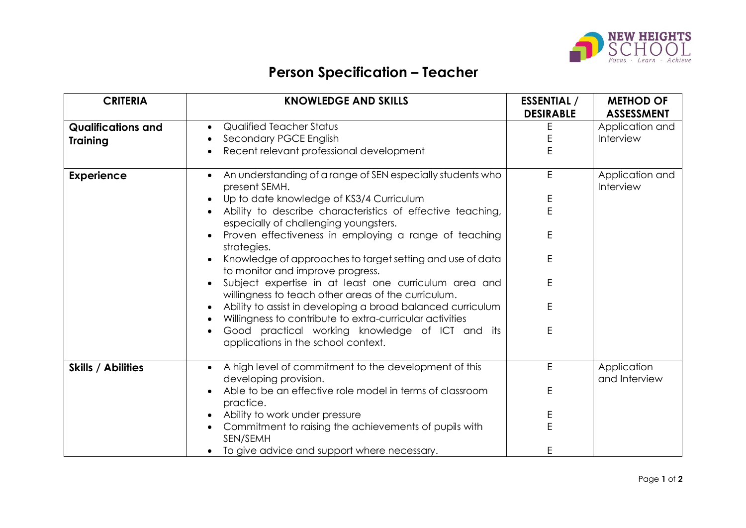

## **Person Specification – Teacher**

| <b>CRITERIA</b>           | <b>KNOWLEDGE AND SKILLS</b>                                                                                             | <b>ESSENTIAL</b> / | <b>METHOD OF</b>             |
|---------------------------|-------------------------------------------------------------------------------------------------------------------------|--------------------|------------------------------|
|                           |                                                                                                                         | <b>DESIRABLE</b>   | <b>ASSESSMENT</b>            |
| <b>Qualifications and</b> | Qualified Teacher Status                                                                                                | Ε                  | Application and              |
| <b>Training</b>           | Secondary PGCE English                                                                                                  | E                  | Interview                    |
|                           | Recent relevant professional development                                                                                | E                  |                              |
| <b>Experience</b>         | An understanding of a range of SEN especially students who<br>present SEMH.                                             | E                  | Application and<br>Interview |
|                           | Up to date knowledge of KS3/4 Curriculum                                                                                | E                  |                              |
|                           | Ability to describe characteristics of effective teaching,<br>especially of challenging youngsters.                     | E                  |                              |
|                           | Proven effectiveness in employing a range of teaching<br>strategies.                                                    | E                  |                              |
|                           | Knowledge of approaches to target setting and use of data<br>to monitor and improve progress.                           | E                  |                              |
|                           | Subject expertise in at least one curriculum area and<br>willingness to teach other areas of the curriculum.            | E                  |                              |
|                           | Ability to assist in developing a broad balanced curriculum<br>Willingness to contribute to extra-curricular activities | E                  |                              |
|                           | Good practical working knowledge of ICT and its<br>applications in the school context.                                  | E                  |                              |
| <b>Skills / Abilities</b> | A high level of commitment to the development of this<br>$\bullet$<br>developing provision.                             | E                  | Application<br>and Interview |
|                           | Able to be an effective role model in terms of classroom<br>practice.                                                   | Е                  |                              |
|                           | Ability to work under pressure                                                                                          | Ε                  |                              |
|                           | Commitment to raising the achievements of pupils with<br>SEN/SEMH                                                       | Е                  |                              |
|                           | To give advice and support where necessary.                                                                             | E                  |                              |